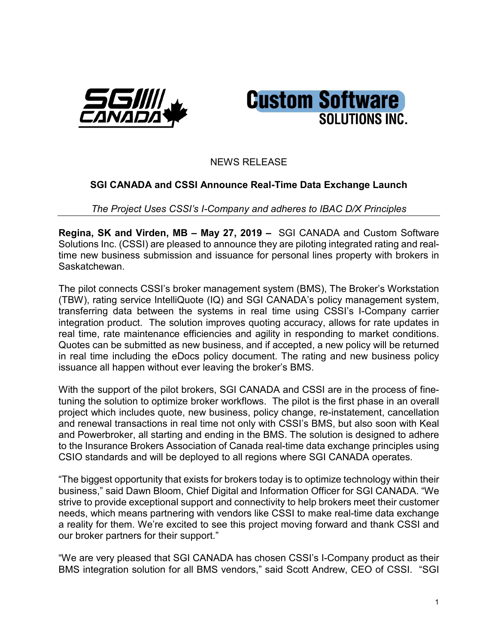



## NEWS RELEASE

## **SGI CANADA and CSSI Announce Real-Time Data Exchange Launch**

*The Project Uses CSSI's I-Company and adheres to IBAC D/X Principles*

**Regina, SK and Virden, MB – May 27, 2019 –** SGI CANADA and Custom Software Solutions Inc. (CSSI) are pleased to announce they are piloting integrated rating and realtime new business submission and issuance for personal lines property with brokers in Saskatchewan.

The pilot connects CSSI's broker management system (BMS), The Broker's Workstation (TBW), rating service IntelliQuote (IQ) and SGI CANADA's policy management system, transferring data between the systems in real time using CSSI's I-Company carrier integration product. The solution improves quoting accuracy, allows for rate updates in real time, rate maintenance efficiencies and agility in responding to market conditions. Quotes can be submitted as new business, and if accepted, a new policy will be returned in real time including the eDocs policy document. The rating and new business policy issuance all happen without ever leaving the broker's BMS.

With the support of the pilot brokers, SGI CANADA and CSSI are in the process of finetuning the solution to optimize broker workflows. The pilot is the first phase in an overall project which includes quote, new business, policy change, re-instatement, cancellation and renewal transactions in real time not only with CSSI's BMS, but also soon with Keal and Powerbroker, all starting and ending in the BMS. The solution is designed to adhere to the Insurance Brokers Association of Canada real-time data exchange principles using CSIO standards and will be deployed to all regions where SGI CANADA operates.

"The biggest opportunity that exists for brokers today is to optimize technology within their business," said Dawn Bloom, Chief Digital and Information Officer for SGI CANADA. "We strive to provide exceptional support and connectivity to help brokers meet their customer needs, which means partnering with vendors like CSSI to make real-time data exchange a reality for them. We're excited to see this project moving forward and thank CSSI and our broker partners for their support."

"We are very pleased that SGI CANADA has chosen CSSI's I-Company product as their BMS integration solution for all BMS vendors," said Scott Andrew, CEO of CSSI. "SGI